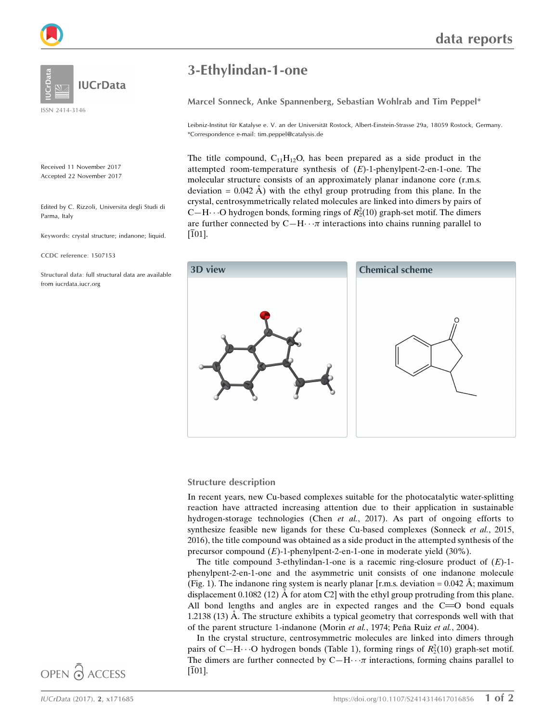Received 11 November 2017 Accepted 22 November 2017

Edited by C. Rizzoli, Universita degli Studi di Parma, Italy

**IUCrData** 

Keywords: crystal structure; indanone; liquid.

CCDC reference: 1507153

Structural data: full structural data are available from iucrdata.iucr.org

# 3-Ethylindan-1-one

Marcel Sonneck, Anke Spannenberg, Sebastian Wohlrab and Tim Peppel\*

Leibniz-Institut für Katalyse e. V. an der Universität Rostock, Albert-Einstein-Strasse 29a, 18059 Rostock, Germany. \*Correspondence e-mail: tim.peppel@catalysis.de

The title compound,  $C_{11}H_{12}O$ , has been prepared as a side product in the attempted room-temperature synthesis of  $(E)$ -1-phenylpent-2-en-1-one. The molecular structure consists of an approximately planar indanone core (r.m.s. deviation =  $0.042 \text{ Å}$ ) with the ethyl group protruding from this plane. In the crystal, centrosymmetrically related molecules are linked into dimers by pairs of C-H $\cdot \cdot$ O hydrogen bonds, forming rings of  $R_2^2(10)$  graph-set motif. The dimers are further connected by  $C-H \cdots \pi$  interactions into chains running parallel to  $[101]$ .



#### Structure description

In recent years, new Cu-based complexes suitable for the photocatalytic water-splitting reaction have attracted increasing attention due to their application in sustainable hydrogen-storage technologies (Chen et al., 2017). As part of ongoing efforts to synthesize feasible new ligands for these Cu-based complexes (Sonneck et al., 2015, 2016), the title compound was obtained as a side product in the attempted synthesis of the precursor compound (E)-1-phenylpent-2-en-1-one in moderate yield (30%).

The title compound 3-ethylindan-1-one is a racemic ring-closure product of  $(E)$ -1phenylpent-2-en-1-one and the asymmetric unit consists of one indanone molecule (Fig. 1). The indanone ring system is nearly planar [r.m.s. deviation =  $0.042 \text{ Å}$ ; maximum displacement 0.1082 (12)  $\AA$  for atom C2] with the ethyl group protruding from this plane. All bond lengths and angles are in expected ranges and the  $C = 0$  bond equals  $1.2138$  (13)  $\dot{A}$ . The structure exhibits a typical geometry that corresponds well with that of the parent structure 1-indanone (Morin *et al.*, 1974; Peña Ruiz *et al.*, 2004).

In the crystal structure, centrosymmetric molecules are linked into dimers through pairs of C-H $\cdot \cdot$  O hydrogen bonds (Table 1), forming rings of  $R_2^2(10)$  graph-set motif. The dimers are further connected by  $C-H \cdots \pi$  interactions, forming chains parallel to [101].

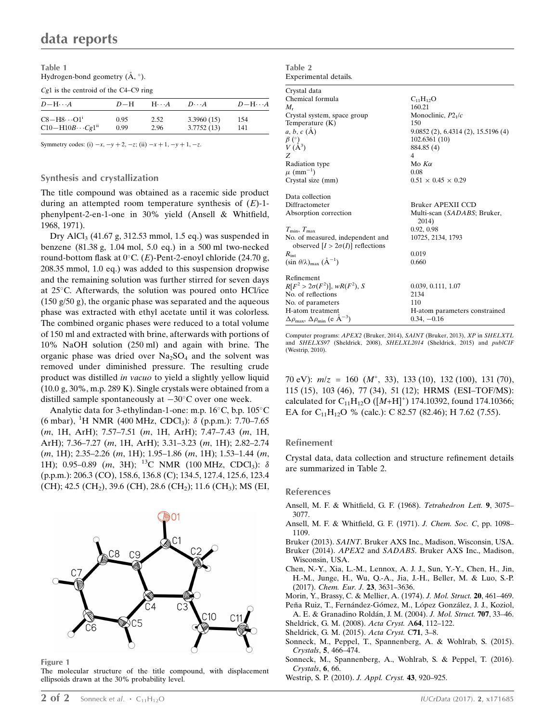| Table 1                                            |  |
|----------------------------------------------------|--|
| Hydrogen-bond geometry $(\mathring{A}, \degree)$ . |  |

Cg1 is the centroid of the C4–C9 ring

| $D-\mathrm{H}\cdots A$           | $D-H$ | $H \cdot \cdot A$ | $D\cdot\cdot\cdot A$ | $D-H\cdots A$ |
|----------------------------------|-------|-------------------|----------------------|---------------|
| $C8 - H8 \cdot \cdot \cdot O1^1$ | 0.95  | 2.52              | 3.3960(15)           | 154           |
| $C10-H10B\cdots Cg1^{ii}$        | 0.99  | 2.96              | 3.7752(13)           | 141           |

Symmetry codes: (i)  $-x, -y + 2, -z$ ; (ii)  $-x + 1, -y + 1, -z$ .

### Synthesis and crystallization

The title compound was obtained as a racemic side product during an attempted room temperature synthesis of  $(E)$ -1phenylpent-2-en-1-one in 30% yield (Ansell & Whitfield, 1968, 1971).

Dry AlCl<sub>3</sub> (41.67 g, 312.53 mmol, 1.5 eq.) was suspended in benzene (81.38 g, 1.04 mol, 5.0 eq.) in a 500 ml two-necked round-bottom flask at  $0^{\circ}$ C. (*E*)-Pent-2-enoyl chloride (24.70 g, 208.35 mmol, 1.0 eq.) was added to this suspension dropwise and the remaining solution was further stirred for seven days at  $25^{\circ}$ C. Afterwards, the solution was poured onto HCl/ice (150 g/50 g), the organic phase was separated and the aqueous phase was extracted with ethyl acetate until it was colorless. The combined organic phases were reduced to a total volume of 150 ml and extracted with brine, afterwards with portions of 10% NaOH solution (250 ml) and again with brine. The organic phase was dried over  $Na<sub>2</sub>SO<sub>4</sub>$  and the solvent was removed under diminished pressure. The resulting crude product was distilled in vacuo to yield a slightly yellow liquid (10.0 g, 30%, m.p. 289 K). Single crystals were obtained from a distilled sample spontaneously at  $-30^{\circ}$ C over one week.

Analytic data for 3-ethylindan-1-one: m.p. 16°C, b.p. 105°C (6 mbar), <sup>1</sup>H NMR (400 MHz, CDCl<sub>3</sub>):  $\delta$  (p.p.m.): 7.70–7.65 (m, 1H, ArH); 7.57–7.51 (m, 1H, ArH); 7.47–7.43 (m, 1H, ArH); 7.36–7.27 (m, 1H, ArH); 3.31–3.23 (m, 1H); 2.82–2.74 (m, 1H); 2.35–2.26 (m, 1H); 1.95–1.86 (m, 1H); 1.53–1.44 (m, 1H); 0.95–0.89 (*m*, 3H); <sup>13</sup>C NMR (100 MHz, CDCl<sub>3</sub>):  $\delta$ (p.p.m.): 206.3 (CO), 158.6, 136.8 (C); 134.5, 127.4, 125.6, 123.4 (CH); 42.5 (CH<sub>2</sub>), 39.6 (CH), 28.6 (CH<sub>2</sub>); 11.6 (CH<sub>3</sub>); MS (EI,



Figure 1

The molecular structure of the title compound, with displacement ellipsoids drawn at the 30% probability level.

| $A^{\text{AUC}}$                                                             |                                      |
|------------------------------------------------------------------------------|--------------------------------------|
| Experimental details.                                                        |                                      |
| Crystal data                                                                 |                                      |
| Chemical formula                                                             | $C_{11}H_{12}O$                      |
| $M_{r}$                                                                      | 160.21                               |
| Crystal system, space group                                                  | Monoclinic, $P2_1/c$                 |
| Temperature $(K)$                                                            | 150                                  |
| $a, b, c (\AA)$                                                              | 9.0852(2), 6.4314(2), 15.5196(4)     |
|                                                                              | 102.6361 (10)                        |
| $\begin{array}{c} \beta \ (\hat{\ }) \\ V \ (\hat{A}^3) \end{array}$         | 884.85 (4)                           |
| Z                                                                            | 4                                    |
| Radiation type                                                               | Mo $K\alpha$                         |
| $\mu$ (mm <sup>-1</sup> )                                                    | 0.08                                 |
| Crystal size (mm)                                                            | $0.51 \times 0.45 \times 0.29$       |
| Data collection                                                              |                                      |
| Diffractometer                                                               | Bruker APEXII CCD                    |
| Absorption correction                                                        | Multi-scan (SADABS; Bruker,<br>2014) |
| $T_{\min}, T_{\max}$                                                         | 0.92, 0.98                           |
| No. of measured, independent and<br>observed $[I > 2\sigma(I)]$ reflections  | 10725, 2134, 1793                    |
| $R_{\rm int}$                                                                | 0.019                                |
| $(\sin \theta/\lambda)_{\text{max}}$ $(\text{\AA}^{-1})$                     | 0.660                                |
| Refinement                                                                   |                                      |
| $R[F^2 > 2\sigma(F^2)], wR(F^2), S$                                          | 0.039, 0.111, 1.07                   |
| No. of reflections                                                           | 2134                                 |
| No. of parameters                                                            | 110                                  |
| H-atom treatment                                                             | H-atom parameters constrained        |
| $\Delta \rho_{\text{max}}$ , $\Delta \rho_{\text{min}}$ (e $\rm{\AA}^{-3}$ ) | $0.34, -0.16$                        |

Computer programs: APEX2 (Bruker, 2014), SAINT (Bruker, 2013), XP in SHELXTL and SHELXS97 (Sheldrick, 2008), SHELXL2014 (Sheldrick, 2015) and publCIF (Westrip, 2010).

70 eV):  $m/z = 160$   $(M^+, 33)$ , 133 (10), 132 (100), 131 (70), 115 (15), 103 (46), 77 (34), 51 (12); HRMS (ESI–TOF/MS): calculated for  $C_{11}H_{12}O$  ([M+H]<sup>+</sup>) 174.10392, found 174.10366; EA for C<sub>11</sub>H<sub>12</sub>O % (calc.): C 82.57 (82.46); H 7.62 (7.55).

#### Refinement

Table 2

Crystal data, data collection and structure refinement details are summarized in Table 2.

#### References

- [Ansell, M. F. & Whitfield, G. F. \(1968\).](http://scripts.iucr.org/cgi-bin/cr.cgi?rm=pdfbb&cnor=rz4019&bbid=BB1) Tetrahedron Lett. 9, 3075– [3077.](http://scripts.iucr.org/cgi-bin/cr.cgi?rm=pdfbb&cnor=rz4019&bbid=BB1)
- [Ansell, M. F. & Whitfield, G. F. \(1971\).](http://scripts.iucr.org/cgi-bin/cr.cgi?rm=pdfbb&cnor=rz4019&bbid=BB2) J. Chem. Soc. C, pp. 1098– [1109.](http://scripts.iucr.org/cgi-bin/cr.cgi?rm=pdfbb&cnor=rz4019&bbid=BB2)
- Bruker (2013). SAINT[. Bruker AXS Inc., Madison, Wisconsin, USA.](http://scripts.iucr.org/cgi-bin/cr.cgi?rm=pdfbb&cnor=rz4019&bbid=BB3)
- Bruker (2014). APEX2 and SADABS[. Bruker AXS Inc., Madison,](http://scripts.iucr.org/cgi-bin/cr.cgi?rm=pdfbb&cnor=rz4019&bbid=BB4) [Wisconsin, USA.](http://scripts.iucr.org/cgi-bin/cr.cgi?rm=pdfbb&cnor=rz4019&bbid=BB4)
- [Chen, N.-Y., Xia, L.-M., Lennox, A. J. J., Sun, Y.-Y., Chen, H., Jin,](http://scripts.iucr.org/cgi-bin/cr.cgi?rm=pdfbb&cnor=rz4019&bbid=BB5) [H.-M., Junge, H., Wu, Q.-A., Jia, J.-H., Beller, M. & Luo, S.-P.](http://scripts.iucr.org/cgi-bin/cr.cgi?rm=pdfbb&cnor=rz4019&bbid=BB5) (2017). [Chem. Eur. J.](http://scripts.iucr.org/cgi-bin/cr.cgi?rm=pdfbb&cnor=rz4019&bbid=BB5) 23, 3631–3636.
- [Morin, Y., Brassy, C. & Mellier, A. \(1974\).](http://scripts.iucr.org/cgi-bin/cr.cgi?rm=pdfbb&cnor=rz4019&bbid=BB6) J. Mol. Struct. 20, 461–469.
- Peña Ruiz, T., Fernández-Gómez, M., López González, J. J., Koziol, A. E. & Granadino Roldán, J. M. (2004). J. Mol. Struct. 707, 33-46.
- [Sheldrick, G. M. \(2008\).](http://scripts.iucr.org/cgi-bin/cr.cgi?rm=pdfbb&cnor=rz4019&bbid=BB8) Acta Cryst. A64, 112–122.
- [Sheldrick, G. M. \(2015\).](http://scripts.iucr.org/cgi-bin/cr.cgi?rm=pdfbb&cnor=rz4019&bbid=BB9) Acta Cryst. C71, 3–8.
- [Sonneck, M., Peppel, T., Spannenberg, A. & Wohlrab, S. \(2015\).](http://scripts.iucr.org/cgi-bin/cr.cgi?rm=pdfbb&cnor=rz4019&bbid=BB10) Crystals, 5[, 466–474.](http://scripts.iucr.org/cgi-bin/cr.cgi?rm=pdfbb&cnor=rz4019&bbid=BB10)
- [Sonneck, M., Spannenberg, A., Wohlrab, S. & Peppel, T. \(2016\).](http://scripts.iucr.org/cgi-bin/cr.cgi?rm=pdfbb&cnor=rz4019&bbid=BB11) [Crystals](http://scripts.iucr.org/cgi-bin/cr.cgi?rm=pdfbb&cnor=rz4019&bbid=BB11), 6, 66.
- [Westrip, S. P. \(2010\).](http://scripts.iucr.org/cgi-bin/cr.cgi?rm=pdfbb&cnor=rz4019&bbid=BB12) J. Appl. Cryst. 43, 920–925.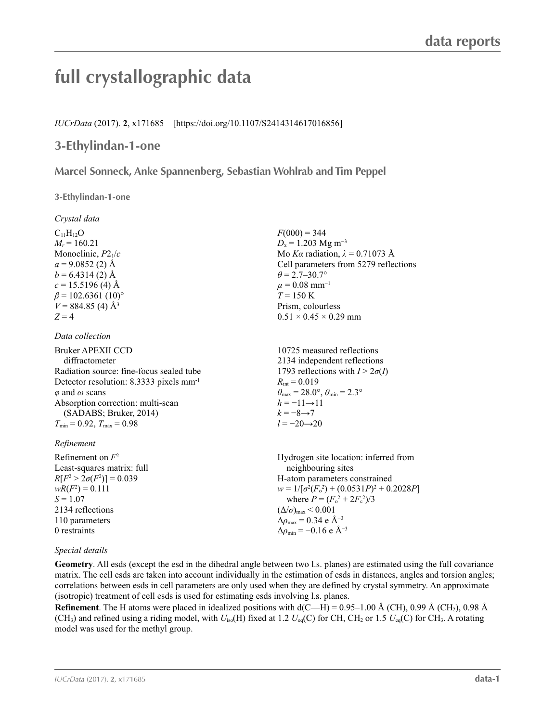# **full crystallographic data**

*IUCrData* (2017). **2**, x171685 [https://doi.org/10.1107/S2414314617016856]

# **3-Ethylindan-1-one**

**Marcel Sonneck, Anke Spannenberg, Sebastian Wohlrab and Tim Peppel**

**3-Ethylindan-1-one** 

*Crystal data*

 $C_{11}H_{12}O$  $M_r = 160.21$ Monoclinic, *P*21/*c*  $a = 9.0852(2)$  Å  $b = 6.4314(2)$  Å  $c = 15.5196$  (4) Å  $\beta$  = 102.6361 (10)<sup>o</sup>  $V = 884.85$  (4) Å<sup>3</sup>  $Z = 4$ 

## *Data collection*

| Bruker APEXII CCD                                   | 10725 measured reflection                                               |
|-----------------------------------------------------|-------------------------------------------------------------------------|
| diffractometer                                      | 2134 independent reflect                                                |
| Radiation source: fine-focus sealed tube            | 1793 reflections with $I >$                                             |
| Detector resolution: 8.3333 pixels mm <sup>-1</sup> | $R_{\text{int}} = 0.019$                                                |
| $\varphi$ and $\omega$ scans                        | $\theta_{\text{max}} = 28.0^{\circ}, \theta_{\text{min}} = 2.3^{\circ}$ |
| Absorption correction: multi-scan                   | $h = -11 \rightarrow 11$                                                |
| (SADABS; Bruker, 2014)<br>$k = -8 \rightarrow 7$    |                                                                         |
| $T_{\min} = 0.92$ , $T_{\max} = 0.98$               | $l = -20 \rightarrow 20$                                                |
|                                                     |                                                                         |

## *Refinement*

Refinement on *F*<sup>2</sup> Least-squares matrix: full *R*[ $F^2 > 2\sigma(F^2)$ ] = 0.039  $wR(F^2) = 0.111$  $S = 1.07$ 2134 reflections 110 parameters 0 restraints Hydrogen site location: inferred from neighbouring sites H-atom parameters constrained  $w = 1/[\sigma^2 (F_o^2) + (0.0531P)^2 + 0.2028P]$ where  $P = (F_o^2 + 2F_c^2)/3$  $(\Delta/\sigma)_{\text{max}}$  < 0.001  $Δρ<sub>max</sub> = 0.34 e Å<sup>-3</sup>$  $\Delta \rho_{\rm min} = -0.16 \text{ e A}^{-3}$ 

## *Special details*

**Geometry**. All esds (except the esd in the dihedral angle between two l.s. planes) are estimated using the full covariance matrix. The cell esds are taken into account individually in the estimation of esds in distances, angles and torsion angles; correlations between esds in cell parameters are only used when they are defined by crystal symmetry. An approximate (isotropic) treatment of cell esds is used for estimating esds involving l.s. planes.

**Refinement**. The H atoms were placed in idealized positions with  $d(C-H) = 0.95-1.00 \text{ Å } (CH)$ , 0.99 Å (CH<sub>2</sub>), 0.98 Å (CH<sub>3</sub>) and refined using a riding model, with  $U_{iso}(H)$  fixed at 1.2  $U_{eq}(C)$  for CH, CH<sub>2</sub> or 1.5  $U_{eq}(C)$  for CH<sub>3</sub>. A rotating model was used for the methyl group.

 $F(000) = 344$  $D_x = 1.203$  Mg m<sup>-3</sup> Mo *Kα* radiation,  $\lambda = 0.71073$  Å Cell parameters from 5279 reflections  $\theta$  = 2.7–30.7°  $\mu = 0.08$  mm<sup>-1</sup>  $T = 150$  K Prism, colourless  $0.51 \times 0.45 \times 0.29$  mm

10725 measured reflections ions  $2\sigma(I)$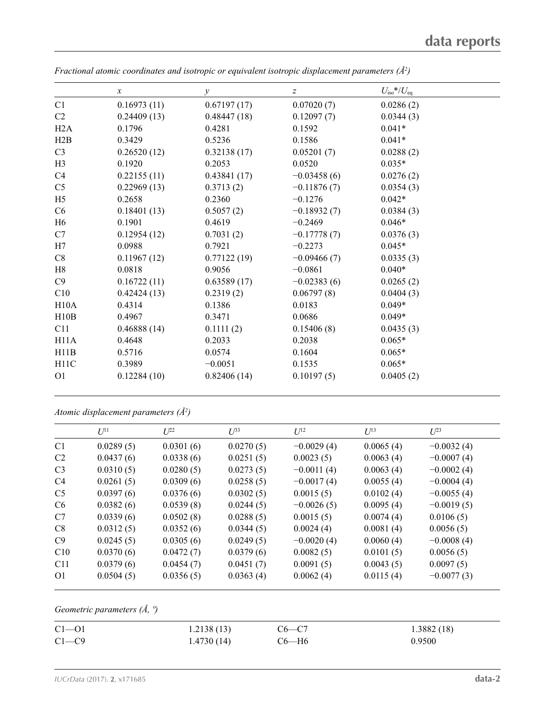|                | $\boldsymbol{x}$ | $\mathcal{Y}$ | $\boldsymbol{Z}$ | $U_{\rm iso}$ */ $U_{\rm eq}$ |
|----------------|------------------|---------------|------------------|-------------------------------|
| C <sub>1</sub> | 0.16973(11)      | 0.67197(17)   | 0.07020(7)       | 0.0286(2)                     |
| C <sub>2</sub> | 0.24409(13)      | 0.48447(18)   | 0.12097(7)       | 0.0344(3)                     |
| H2A            | 0.1796           | 0.4281        | 0.1592           | $0.041*$                      |
| H2B            | 0.3429           | 0.5236        | 0.1586           | $0.041*$                      |
| C <sub>3</sub> | 0.26520(12)      | 0.32138(17)   | 0.05201(7)       | 0.0288(2)                     |
| H3             | 0.1920           | 0.2053        | 0.0520           | $0.035*$                      |
| C4             | 0.22155(11)      | 0.43841(17)   | $-0.03458(6)$    | 0.0276(2)                     |
| C <sub>5</sub> | 0.22969(13)      | 0.3713(2)     | $-0.11876(7)$    | 0.0354(3)                     |
| H <sub>5</sub> | 0.2658           | 0.2360        | $-0.1276$        | $0.042*$                      |
| C <sub>6</sub> | 0.18401(13)      | 0.5057(2)     | $-0.18932(7)$    | 0.0384(3)                     |
| H6             | 0.1901           | 0.4619        | $-0.2469$        | $0.046*$                      |
| C7             | 0.12954(12)      | 0.7031(2)     | $-0.17778(7)$    | 0.0376(3)                     |
| H7             | 0.0988           | 0.7921        | $-0.2273$        | $0.045*$                      |
| C8             | 0.11967(12)      | 0.77122(19)   | $-0.09466(7)$    | 0.0335(3)                     |
| H8             | 0.0818           | 0.9056        | $-0.0861$        | $0.040*$                      |
| C9             | 0.16722(11)      | 0.63589(17)   | $-0.02383(6)$    | 0.0265(2)                     |
| C10            | 0.42424(13)      | 0.2319(2)     | 0.06797(8)       | 0.0404(3)                     |
| H10A           | 0.4314           | 0.1386        | 0.0183           | $0.049*$                      |
| H10B           | 0.4967           | 0.3471        | 0.0686           | $0.049*$                      |
| C11            | 0.46888(14)      | 0.1111(2)     | 0.15406(8)       | 0.0435(3)                     |
| H11A           | 0.4648           | 0.2033        | 0.2038           | $0.065*$                      |
| H11B           | 0.5716           | 0.0574        | 0.1604           | $0.065*$                      |
| H11C           | 0.3989           | $-0.0051$     | 0.1535           | $0.065*$                      |
| <b>O1</b>      | 0.12284(10)      | 0.82406(14)   | 0.10197(5)       | 0.0405(2)                     |

*Fractional atomic coordinates and isotropic or equivalent isotropic displacement parameters (Å<sup>2</sup>)* 

*Atomic displacement parameters (Å2 )*

| $U^{11}$  | $L^{22}$  | $U^{33}$  | $U^{12}$     | $U^{13}$  | $U^{23}$     |
|-----------|-----------|-----------|--------------|-----------|--------------|
| 0.0289(5) | 0.0301(6) | 0.0270(5) | $-0.0029(4)$ | 0.0065(4) | $-0.0032(4)$ |
| 0.0437(6) | 0.0338(6) | 0.0251(5) | 0.0023(5)    | 0.0063(4) | $-0.0007(4)$ |
| 0.0310(5) | 0.0280(5) | 0.0273(5) | $-0.0011(4)$ | 0.0063(4) | $-0.0002(4)$ |
| 0.0261(5) | 0.0309(6) | 0.0258(5) | $-0.0017(4)$ | 0.0055(4) | $-0.0004(4)$ |
| 0.0397(6) | 0.0376(6) | 0.0302(5) | 0.0015(5)    | 0.0102(4) | $-0.0055(4)$ |
| 0.0382(6) | 0.0539(8) | 0.0244(5) | $-0.0026(5)$ | 0.0095(4) | $-0.0019(5)$ |
| 0.0339(6) | 0.0502(8) | 0.0288(5) | 0.0015(5)    | 0.0074(4) | 0.0106(5)    |
| 0.0312(5) | 0.0352(6) | 0.0344(5) | 0.0024(4)    | 0.0081(4) | 0.0056(5)    |
| 0.0245(5) | 0.0305(6) | 0.0249(5) | $-0.0020(4)$ | 0.0060(4) | $-0.0008(4)$ |
| 0.0370(6) | 0.0472(7) | 0.0379(6) | 0.0082(5)    | 0.0101(5) | 0.0056(5)    |
| 0.0379(6) | 0.0454(7) | 0.0451(7) | 0.0091(5)    | 0.0043(5) | 0.0097(5)    |
| 0.0504(5) | 0.0356(5) | 0.0363(4) | 0.0062(4)    | 0.0115(4) | $-0.0077(3)$ |
|           |           |           |              |           |              |

*Geometric parameters (Å, º)*

| $C1 - 01$ | 1.2138(13) | $C6-C7$ | 1.3882(18) |
|-----------|------------|---------|------------|
| $C1 - C9$ | 1.4730(14) | С6—Н6   | 0.9500     |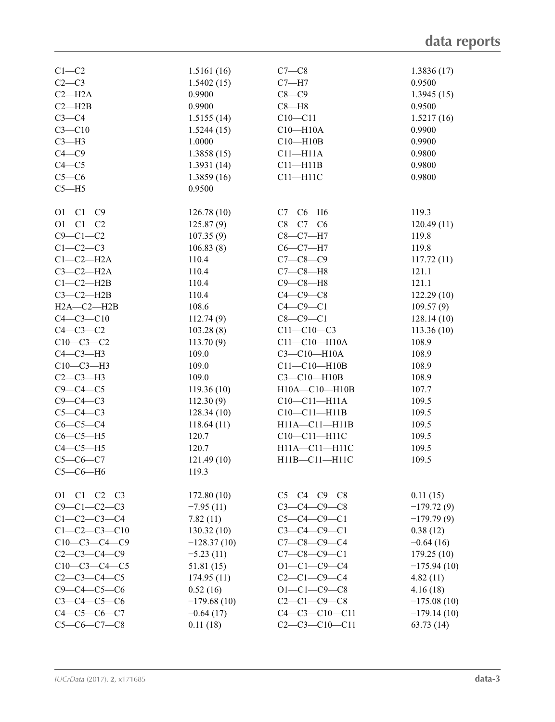| $C1 - C2$            | 1.5161(16)    | $C7-C8$               | 1.3836(17)    |
|----------------------|---------------|-----------------------|---------------|
| $C2-C3$              | 1.5402(15)    | $C7 - H7$             | 0.9500        |
| $C2 - H2A$           | 0.9900        | $C8-C9$               | 1.3945(15)    |
| $C2 - H2B$           | 0.9900        | $C8 - H8$             | 0.9500        |
| $C3-C4$              | 1.5155(14)    | $C10 - C11$           | 1.5217(16)    |
| $C3 - C10$           | 1.5244(15)    | $C10 - H10A$          | 0.9900        |
|                      |               |                       |               |
| $C3-H3$              | 1.0000        | $C10 - H10B$          | 0.9900        |
| $C4-C9$              | 1.3858(15)    | $C11 - H11A$          | 0.9800        |
| $C4 - C5$            | 1.3931(14)    | $C11 - H11B$          | 0.9800        |
| $C5-C6$              | 1.3859(16)    | $C11 - H11C$          | 0.9800        |
| $C5 - H5$            | 0.9500        |                       |               |
|                      |               |                       |               |
| $O1 - C1 - C9$       | 126.78(10)    | $C7-C6-H6$            | 119.3         |
| $O1 - C1 - C2$       | 125.87(9)     | $C8-C7-C6$            | 120.49(11)    |
| $C9 - C1 - C2$       | 107.35(9)     | $C8-C7-H7$            | 119.8         |
|                      |               |                       |               |
| $C1-C2-C3$           | 106.83(8)     | $C6-C7-H7$            | 119.8         |
| $C1-C2-H2A$          | 110.4         | $C7 - C8 - C9$        | 117.72(11)    |
| $C3-C2-H2A$          | 110.4         | $C7-C8-H8$            | 121.1         |
| $C1-C2-H2B$          | 110.4         | $C9-C8-H8$            | 121.1         |
| $C3-C2-H2B$          | 110.4         | $C4-C9-C8$            | 122.29(10)    |
| $H2A - C2 - H2B$     | 108.6         | $C4-C9-C1$            | 109.57(9)     |
| $C4 - C3 - C10$      | 112.74(9)     | $C8-C9-C1$            | 128.14(10)    |
| $C4-C3-C2$           | 103.28(8)     | $C11 - C10 - C3$      | 113.36(10)    |
| $C10-C3-C2$          | 113.70(9)     | $C11 - C10 - H10A$    | 108.9         |
| $C4-C3-H3$           | 109.0         | $C3 - C10 - H10A$     | 108.9         |
|                      |               |                       |               |
| $C10-C3-H3$          | 109.0         | $C11 - C10 - H10B$    | 108.9         |
| $C2-C3-H3$           | 109.0         | $C3 - C10 - H10B$     | 108.9         |
| $C9 - C4 - C5$       | 119.36(10)    | H10A-C10-H10B         | 107.7         |
| $C9 - C4 - C3$       | 112.30(9)     | $C10-C11-H11A$        | 109.5         |
| $C5-C4-C3$           | 128.34(10)    | $C10-C11-H11B$        | 109.5         |
| $C6-C5-C4$           | 118.64(11)    | H11A-C11-H11B         | 109.5         |
| $C6-C5-H5$           | 120.7         | $C10-C11-H11C$        | 109.5         |
| $C4-C5-H5$           | 120.7         | H11A-C11-H11C         | 109.5         |
| $C5-C6-C7$           | 121.49(10)    | H11B-C11-H11C         | 109.5         |
| $C5-C6-H6$           | 119.3         |                       |               |
|                      |               |                       |               |
|                      |               |                       |               |
| $O1 - C1 - C2 - C3$  | 172.80(10)    | $C5-C4-C9-C8$         | 0.11(15)      |
| $C9 - C1 - C2 - C3$  | $-7.95(11)$   | $C3 - C4 - C9 - C8$   | $-179.72(9)$  |
| $C1 - C2 - C3 - C4$  | 7.82(11)      | $C5 - C4 - C9 - C1$   | $-179.79(9)$  |
| $C1 - C2 - C3 - C10$ | 130.32(10)    | $C3 - C4 - C9 - C1$   | 0.38(12)      |
| $C10-C3-C4-C9$       | $-128.37(10)$ | $C7 - C8 - C9 - C4$   | $-0.64(16)$   |
| $C2 - C3 - C4 - C9$  | $-5.23(11)$   | $C7 - C8 - C9 - C1$   | 179.25 (10)   |
| $C10-C3-C4-C5$       | 51.81(15)     | $O1 - C1 - C9 - C4$   | $-175.94(10)$ |
| $C2 - C3 - C4 - C5$  | 174.95(11)    | $C2 - C1 - C9 - C4$   | 4.82(11)      |
| $C9 - C4 - C5 - C6$  | 0.52(16)      | $O1 - C1 - C9 - C8$   | 4.16(18)      |
| $C3 - C4 - C5 - C6$  | $-179.68(10)$ | $C2 - C1 - C9 - C8$   | $-175.08(10)$ |
| $C4 - C5 - C6 - C7$  | $-0.64(17)$   | $C4 - C3 - C10 - C11$ | $-179.14(10)$ |
| $C5-C6-C7-C8$        | 0.11(18)      | $C2 - C3 - C10 - C11$ | 63.73(14)     |
|                      |               |                       |               |